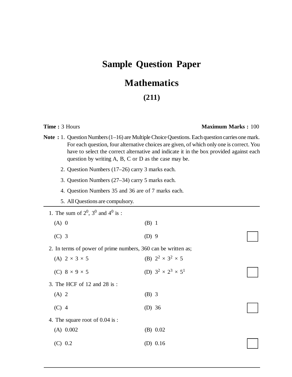# **Sample Question Paper**

# **Mathematics**

## **(211)**

### **Time :** 3 Hours **Maximum Marks :** 100

- Note : 1. Question Numbers (1–16) are Multiple Choice Questions. Each question carries one mark. For each question, four alternative choices are given, of which only one is correct. You have to select the correct alternative and indicate it in the box provided against each question by writing A, B, C or D as the case may be.
	- 2. Question Numbers (17–26) carry 3 marks each.
	- 3. Question Numbers (27–34) carry 5 marks each.
	- 4. Question Numbers 35 and 36 are of 7 marks each.
	- 5. All Questions are compulsory.
	- 1. The sum of  $2^0$ ,  $3^0$  and  $4^0$  is :
		- (A) 0 (B) 1
		- $(C)$  3 (D) 9
	- 2. In terms of power of prime numbers, 360 can be written as;

| (A) $2 \times 3 \times 5$         | (B) $2^2 \times 3^2 \times 5$   |
|-----------------------------------|---------------------------------|
| (C) $8 \times 9 \times 5$         | (D) $3^2 \times 2^3 \times 5^1$ |
| 3. The HCF of 12 and 28 is:       |                                 |
| $(A)$ 2                           | (B) 3                           |
| $(C)$ 4                           | (D) $36$                        |
| 4. The square root of $0.04$ is : |                                 |
| $(A)$ 0.002                       | (B) 0.02                        |
| (C) 0.2                           | (D) $0.16$                      |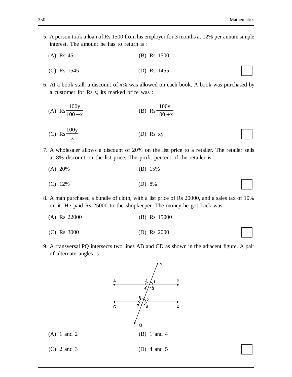- 5. A person took a loan of Rs 1500 from his employer for 3 months at 12% per annum simple interest. The amount he has to return is :
	- (A) Rs 45 (B) Rs 1500
	- (C) Rs 1545 (D) Rs 1455
- 6. At a book stall, a discount of x% was allowed on each book. A book was purchased by a customer for Rs y, its marked price was :
	- (A) Rs 100 100 y − x (B) Rs 100 100 y  $+ x$
	- (C) Rs 100y x (D) Rs xy
- 7. A wholesaler allows a discount of 20% on the list price to a retailer. The retailer sells at 8% discount on the list price. The profit percent of the retailer is :
	- (A) 20% (B) 15%
	- (C) 12% (D) 8%
- 8. A man purchased a bundle of cloth, with a list price of Rs 20000, and a sales tax of 10% on it. He paid Rs 25000 to the shopkeeper. The money he got back was :
	- (A) Rs 22000 (B) Rs 15000
	- (C) Rs 3000 (D) Rs 2000
- 9. A transversal PQ intersects two lines AB and CD as shown in the adjacent figure. A pair of alternate angles is :

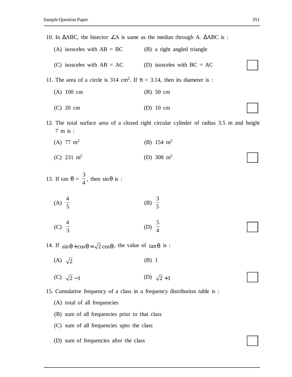10. In  $ΔABC$ , the bisector  $∠A$  is same as the median through A.  $ΔABC$  is :

- (A) isosceles with  $AB = BC$  (B) a right angled triangle
- (C) isosceles with  $AB = AC$  (D) isosceles with  $BC = AC$

11. The area of a circle is 314 cm<sup>2</sup>. If  $\pi = 3.14$ , then its diameter is :

## (A) 100 cm (B) 50 cm

- (C) 20 cm (D) 10 cm
- 12. The total surface area of a closed right circular cylinder of radius 3.5 m and height 7 m is :
	- (A)  $77 \text{ m}^2$ (B) 154  $m<sup>2</sup>$
	- (C)  $231 \text{ m}^2$ (D) 308 m<sup>2</sup>

13. If 
$$
\tan \theta = \frac{3}{4}
$$
, then  $\sin \theta$  is :

(A) 
$$
\frac{4}{5}
$$
 (B)  $\frac{3}{5}$ 

(C) 4 3 (D) 5 4

14. If  $\sin \theta + \cos \theta = \sqrt{2} \cos \theta$ , the value of  $\tan \theta$  is :

- (A)  $\sqrt{2}$  (B) 1
- (C)  $\sqrt{2} 1$  (D)  $\sqrt{2} + 1$
- 15. Cumulative frequency of a class in a frequency distribution table is :
	- (A) total of all frequencies
	- (B) sum of all frequencies prior to that class
	- (C) sum of all frequencies upto the class
	- (D) sum of frequencies after the class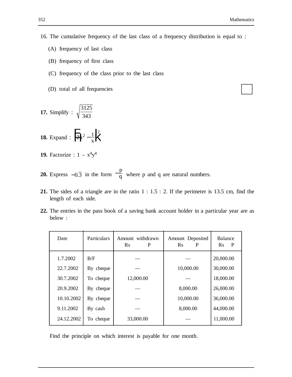- 16. The cumulative frequency of the last class of a frequency distribution is equal to :
	- (A) frequency of last class
	- (B) frequency of first class
	- (C) frequency of the class prior to the last class
	- (D) total of all frequencies
- **17.** Simplify : 3125 343
- **18.** Expand :  $\frac{1}{2}k^2 \frac{1}{k^2}k^2$  $\frac{1}{2}k^2 - \frac{1}{x}k^2$
- **19.** Factorize :  $1 x^4y^4$
- **20.** Express  $-0.\overline{3}$  in the form  $-\frac{p}{q}$  $\frac{F}{q}$  where p and q are natural numbers.
- **21.** The sides of a triangle are in the ratio 1 : 1.5 : 2. If the perimeter is 13.5 cm, find the length of each side.
- **22.** The entries in the pass book of a saving bank account holder in a particular year are as below :

| Date       | Particulars | Amount withdrawn<br>$\mathbf{R}$ s<br>P | Amount Deposited<br>$\mathbf{R}$ s<br>P | Balance<br>$\mathbf{R}$ s<br>P |
|------------|-------------|-----------------------------------------|-----------------------------------------|--------------------------------|
| 1.7.2002   | B/F         |                                         |                                         | 20,000.00                      |
| 22.7.2002  | By cheque   |                                         | 10,000.00                               | 30,000.00                      |
| 30.7.2002  | To cheque   | 12,000.00                               |                                         | 18,000.00                      |
| 20.9.2002  | By cheque   |                                         | 8,000.00                                | 26,000.00                      |
| 10.10.2002 | By cheque   |                                         | 10,000.00                               | 36,000.00                      |
| 9.11.2002  | By cash     |                                         | 8,000.00                                | 44,000.00                      |
| 24.12.2002 | To cheque   | 33,000.00                               |                                         | 11,000.00                      |

Find the principle on which interest is payable for one month.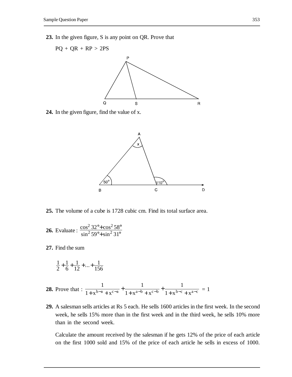**23.** In the given figure, S is any point on QR. Prove that



**24.** In the given figure, find the value of x.



**25.** The volume of a cube is 1728 cubic cm. Find its total surface area.

**26.** Evaluate: 
$$
\frac{\cos^2 32^\circ + \cos^2 58^\circ}{\sin^2 59^\circ + \sin^2 31^\circ}
$$

**27.** Find the sum

$$
\frac{1}{2} + \frac{1}{6} + \frac{1}{12} + \dots + \frac{1}{156}
$$

- **28.** Prove that : 1 1 1 1 1  $+ x^{b-a} + x^{c-a}$   $1 + x^{a-b} + x^{c-b}$  1 +  $+x^{a-b}$  +  $\frac{1}{x^{b-a} + x^{c-a}} + \frac{1}{1 + x^{a-b} + x^{c-b}} + \frac{1}{1 + x^{b-c} + x^{a-c}} = 1$
- **29.** A salesman sells articles at Rs 5 each. He sells 1600 articles in the first week. In the second week, he sells 15% more than in the first week and in the third week, he sells 10% more than in the second week.

Calculate the amount received by the salesman if he gets 12% of the price of each article on the first 1000 sold and 15% of the price of each article he sells in excess of 1000.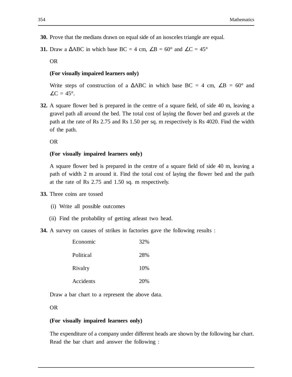- **30.** Prove that the medians drawn on equal side of an isosceles triangle are equal.
- **31.** Draw a  $\triangle ABC$  in which base BC = 4 cm,  $\angle B = 60^{\circ}$  and  $\angle C = 45^{\circ}$

OR

#### **(For visually impaired learners only)**

Write steps of construction of a  $\triangle ABC$  in which base BC = 4 cm,  $\angle B = 60^{\circ}$  and  $\angle C = 45^\circ$ .

**32.** A square flower bed is prepared in the centre of a square field, of side 40 m, leaving a gravel path all around the bed. The total cost of laying the flower bed and gravels at the path at the rate of Rs 2.75 and Rs 1.50 per sq. m respectively is Rs 4020. Find the width of the path.

OR

#### **(For visually impaired learners only)**

A square flower bed is prepared in the centre of a square field of side 40 m, leaving a path of width 2 m around it. Find the total cost of laying the flower bed and the path at the rate of Rs 2.75 and 1.50 sq. m respectively.

- **33.** Three coins are tossed
	- (i) Write all possible outcomes
	- (ii) Find the probability of getting atleast two head.

**34.** A survey on causes of strikes in factories gave the following results :

| Economic  | 32% |
|-----------|-----|
| Political | 28% |
| Rivalry   | 10% |
| Accidents | 20% |

Draw a bar chart to a represent the above data.

OR

#### **(For visually impaired learners only)**

The expenditure of a company under different heads are shown by the following bar chart. Read the bar chart and answer the following :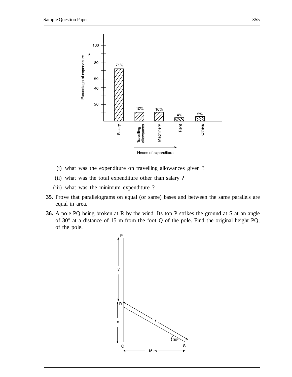

- (i) what was the expenditure on travelling allowances given ?
- (ii) what was the total expenditure other than salary ?
- (iii) what was the minimum expenditure ?
- **35.** Prove that parallelograms on equal (or same) bases and between the same parallels are equal in area.
- **36.** A pole PQ being broken at R by the wind. Its top P strikes the ground at S at an angle of 30° at a distance of 15 m from the foot Q of the pole. Find the original height PQ, of the pole.

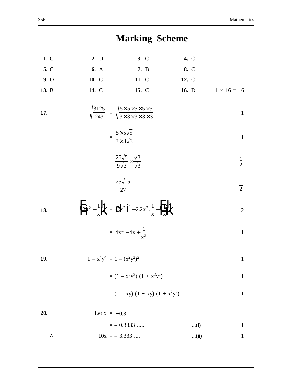**Marking Scheme 1.** C **2.** D **3.** C **4.** C **5.** C **6.** A **7.** B **8.** C **9.** D **10.** C **11.** C **12.** C **13.** B **14.** C **15.** C **16.** D 1 × 16 = 16 **17.** 3125 <sup>243</sup> <sup>=</sup> 55555 33333 ×××× ×××× 1 = 5 55 3 33 × × 1 = 25 5 9 3 3 3 × 1 2 = 25 15 27 1 2 **18.** 2 1 <sup>2</sup> 2 x x F HG <sup>−</sup> I KJ <sup>=</sup> 2 22 1 1 <sup>2</sup> 2 2 2 x x x x d i − + F HGI . . KJ <sup>2</sup> <sup>=</sup> 4 4 <sup>1</sup> <sup>4</sup> 2 x x x − + 1 **19.** 1 – x4y <sup>4</sup> = 1 – (x2y 2 ) <sup>2</sup> 1 = (1 – x2y 2 ) (1 + x2y 2 ) 1 = (1 – xy) (1 + xy) (1 + x2y 2 ) 1 **20.** Let x = −0 3.

 $=$  – 0.3333 ..... ...(i) 1

∴  $10x = -3.333$  .... ...(ii) 1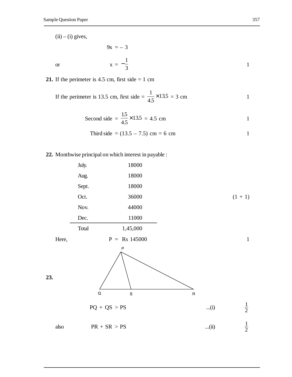$(ii) - (i)$  gives,

$$
x = -\frac{1}{3}
$$

**21.** If the perimeter is 4.5 cm, first side  $= 1$  cm

 $9x = -3$ 

If the perimeter is 13.5 cm, first side = 
$$
\frac{1}{4.5} \times 13.5 = 3
$$
 cm

Second side = 
$$
\frac{1.5}{4.5} \times 13.5 = 4.5
$$
 cm

Third side = 
$$
(13.5 - 7.5)
$$
 cm = 6 cm

**22.** Monthwise principal on which interest in payable :

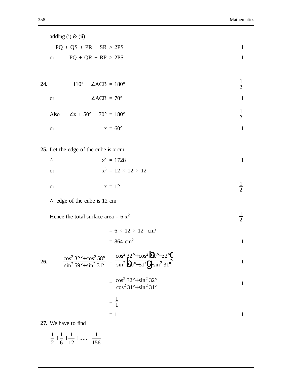|     | adding $(i)$ & $(ii)$                                                                                                                                               |               |
|-----|---------------------------------------------------------------------------------------------------------------------------------------------------------------------|---------------|
|     | $PQ + QS + PR + SR > 2PS$                                                                                                                                           | $\mathbf{1}$  |
|     | $PQ + QR + RP > 2PS$<br><b>or</b>                                                                                                                                   | $\mathbf{1}$  |
|     |                                                                                                                                                                     |               |
| 24. | $110^{\circ} + \angle ACB = 180^{\circ}$                                                                                                                            | $\frac{1}{2}$ |
|     | $\angle ACB = 70^\circ$<br><b>or</b>                                                                                                                                | $\mathbf{1}$  |
|     | $\angle x + 50^{\circ} + 70^{\circ} = 180^{\circ}$<br>Also                                                                                                          | $\frac{1}{2}$ |
|     | $x = 60^\circ$<br><b>or</b>                                                                                                                                         | $\mathbf{1}$  |
|     |                                                                                                                                                                     |               |
|     | 25. Let the edge of the cube is x cm                                                                                                                                |               |
|     | $x^3 = 1728$<br>$\ddot{\phantom{a}}$ .                                                                                                                              | $\mathbf{1}$  |
|     | $x^3 = 12 \times 12 \times 12$<br><b>or</b>                                                                                                                         |               |
|     | $x = 12$<br><b>or</b>                                                                                                                                               | $\frac{1}{2}$ |
|     | $\therefore$ edge of the cube is 12 cm                                                                                                                              |               |
|     | Hence the total surface area = $6x^2$                                                                                                                               | $\frac{1}{2}$ |
|     | $= 6 \times 12 \times 12$ cm <sup>2</sup>                                                                                                                           |               |
|     | $= 864$ cm <sup>2</sup>                                                                                                                                             | $\mathbf{1}$  |
| 26. | $\frac{\cos^2 32^\circ + \cos^2 58^\circ}{\sin^2 59^\circ + \sin^2 31^\circ} = \frac{\cos^2 32^\circ + \cos^2 2^\circ}{\sin^2 29^\circ - 31^\circ 2^\circ 1^\circ}$ | 1             |
|     | $=\frac{\cos^2 32^\circ + \sin^2 32^\circ}{\cos^2 31^\circ + \sin^2 31^\circ}$                                                                                      | 1             |
|     | $=\frac{1}{1}$                                                                                                                                                      |               |
|     | $= 1$                                                                                                                                                               | 1             |
|     | 27. We have to find                                                                                                                                                 |               |

1 2 1 6 1 12 1 156  $+ + + + +$  .....+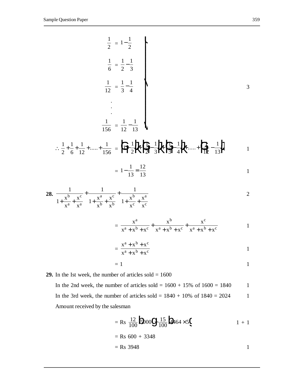$$
\frac{1}{2} = 1 - \frac{1}{2}
$$
\n
$$
\frac{1}{6} = \frac{1}{2} - \frac{1}{3}
$$
\n
$$
\frac{1}{12} = \frac{1}{3} - \frac{1}{4}
$$
\n
$$
\therefore \frac{1}{2} + \frac{1}{6} + \frac{1}{12} + \dots + \frac{1}{156} = \frac{1}{12} - \frac{1}{13}
$$
\n
$$
\therefore \frac{1}{2} + \frac{1}{6} + \frac{1}{12} + \dots + \frac{1}{156} = \frac{1}{12} - \frac{1}{13}
$$
\n
$$
= 1 - \frac{1}{13} = \frac{12}{13}
$$
\n28. 
$$
\frac{1}{1 + \frac{x^{b}}{x^{a}} + \frac{x^{c}}{x^{a}} + \frac{1}{1 + \frac{x^{a}}{x^{b}} + \frac{x^{c}}{x^{b}}} + \frac{1}{1 + \frac{x^{b}}{x^{c}} + \frac{x^{a}}{x^{c}}}
$$
\n
$$
= \frac{x^{a}}{x^{a} + x^{b} + x^{c}} + \frac{x^{b}}{x^{a} + x^{b} + x^{c}} + \frac{x^{c}}{x^{a} + x^{b} + x^{c}}
$$
\n
$$
= \frac{x^{a} + x^{b} + x^{c}}{x^{a} + x^{b} + x^{c}}
$$
\n
$$
= \frac{x^{a} + x^{b} + x^{c}}{x^{a} + x^{b} + x^{c}}
$$
\n
$$
1
$$

$$
= 1
$$

**29.** In the Ist week, the number of articles sold  $= 1600$ In the 2nd week, the number of articles sold =  $1600 + 15\%$  of  $1600 = 1840$  1 In the 3rd week, the number of articles sold =  $1840 + 10\%$  of  $1840 = 2024$  1 Amount received by the salesman

$$
= \text{Rs } \frac{12}{100} \text{5000} \text{9} \frac{15}{100} \text{464} \times 5 \text{60} \qquad 1 + 1
$$
  
= Rs 600 + 3348  
= Rs 3948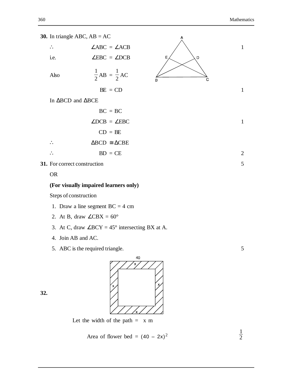

| $\ddot{\phantom{0}}$ | $\angle ABC = \angle ACB$   |
|----------------------|-----------------------------|
| i.e.                 | $\angle$ EBC = $\angle$ DCB |

1

 $\frac{1}{2}AB =$ 

Also

$$
BE = CD
$$

1  $\frac{1}{2}$ AC

∴ ∠ABC = ∠ACB  $\angle$  1 E D C B  $BE = CD$  1

In ΔBCD and ΔBCE



**31.** For correct construction 5

OR

#### **(For visually impaired learners only)**

Steps of construction

- 1. Draw a line segment  $BC = 4$  cm
- 2. At B, draw  $\angle$ CBX = 60 $^{\circ}$
- 3. At C, draw  $\angle$ BCY = 45° intersecting BX at A.
- 4. Join AB and AC.
- 5. ABC is the required triangle. 5





Let the width of the path  $= x \text{ m}$ 

Area of flower bed = 
$$
(40 - 2x)^2
$$

1 2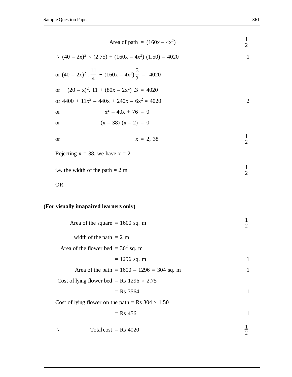| Area of path = $(160x - 4x^2)$                                                         | $\frac{1}{2}$ |
|----------------------------------------------------------------------------------------|---------------|
| $\therefore$ (40 – 2x) <sup>2</sup> × (2.75) + (160x – 4x <sup>2</sup> ) (1.50) = 4020 | $\mathbf{1}$  |
| or $(40 - 2x)^2$ . $\frac{11}{4}$ + $(160x - 4x^2)\frac{3}{2}$ = 4020                  |               |
| $(20 - x)^2$ . 11 + $(80x - 2x^2)$ . 3 = 4020<br><b>or</b>                             |               |
| or $4400 + 11x^2 - 440x + 240x - 6x^2 = 4020$                                          | $\mathbf{2}$  |
| $x^2 - 40x + 76 = 0$<br><b>or</b>                                                      |               |
| $(x - 38) (x - 2) = 0$<br>or                                                           |               |
| $x = 2, 38$<br><b>or</b>                                                               | $\frac{1}{2}$ |
| Rejecting $x = 38$ , we have $x = 2$                                                   |               |
| i.e. the width of the path $= 2 \text{ m}$                                             | $\frac{1}{2}$ |
| <b>OR</b>                                                                              |               |
| (For visually imapaired learners only)                                                 |               |
| Area of the square $= 1600$ sq. m                                                      | $\frac{1}{2}$ |
| width of the path $= 2 \text{ m}$                                                      |               |
| Area of the flower bed = $362$ sq. m                                                   |               |
| $= 1296$ sq. m                                                                         | 1             |
| Area of the path = $1600 - 1296 = 304$ sq. m                                           | $\mathbf{1}$  |
| Cost of lying flower bed = Rs $1296 \times 2.75$                                       |               |
| $=$ Rs 3564                                                                            | $\mathbf{1}$  |
| Cost of lying flower on the path = Rs $304 \times 1.50$                                |               |
| $=$ Rs 456                                                                             | $\mathbf{1}$  |
|                                                                                        |               |

∴ Total cost = Rs 4020  $\frac{1}{2}$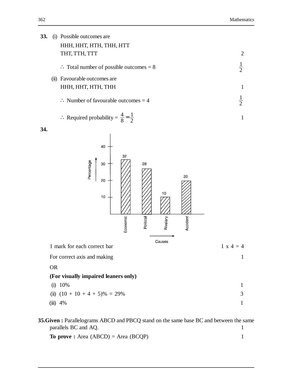| 33. |           | (i) Possible outcomes are                                                                                          |                |
|-----|-----------|--------------------------------------------------------------------------------------------------------------------|----------------|
|     |           | HHH, HHT, HTH, THH, HTT<br>THT, TTH, TTT                                                                           | $\overline{2}$ |
|     |           | $\therefore$ Total number of possible outcomes = 8                                                                 | $\frac{1}{2}$  |
|     | (ii)      | Favourable outcomes are                                                                                            |                |
|     |           | HHH, HHT, HTH, THH                                                                                                 | $\mathbf{1}$   |
|     |           | $\therefore$ Number of favourable outcomes = 4                                                                     | $\frac{1}{2}$  |
|     |           | $\therefore$ Required probability = $\frac{4}{8} = \frac{1}{2}$                                                    | $\mathbf{1}$   |
| 34. |           |                                                                                                                    |                |
|     |           | 40<br>32<br>Percentage<br>30<br>28<br>20<br>20<br>10<br>10<br><b>Political</b><br>Economic<br>Accident<br>Rivalary |                |
|     |           | Causes                                                                                                             |                |
|     |           | 1 mark for each correct bar                                                                                        | $1 x 4 = 4$    |
|     |           | For correct axis and making                                                                                        | $\mathbf{1}$   |
|     | <b>OR</b> |                                                                                                                    |                |
|     |           | (For visually impaired leaners only)<br>(i) 10%                                                                    | $\mathbf{1}$   |
|     |           | (ii) $(10 + 10 + 4 + 5)\% = 29\%$                                                                                  | 3              |
|     |           | $(iii)$ 4%                                                                                                         | $\mathbf{1}$   |

**35.Given :** Parallelograms ABCD and PBCQ stand on the same base BC and between the same parallels BC and AQ. 1

**To prove :** Area (ABCD) = Area (BCQP) 1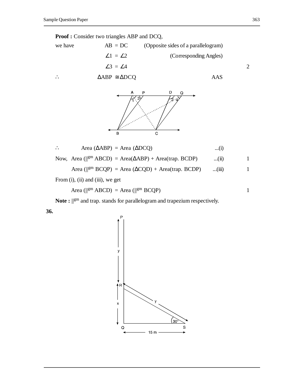





$$
\therefore \qquad \text{Area } (\Delta A B P) = \text{Area } (\Delta D C Q) \qquad \qquad \dots (i)
$$

Now, Area ( $\parallel^{gm}$  ABCD) = Area( $\triangle$ ABP) + Area(trap. BCDP) ...(ii) 1

$$
Area (||^{gm} BCQP) = Area (\Delta CQD) + Area (trap. BCDP) \qquad ...(iii)
$$

From (i), (ii) and (iii), we get

$$
Area (||gm ABCD) = Area (||gm BCQP)
$$
 1

Note :  $\mathbb{I}^{\text{gm}}$  and trap. stands for parallelogram and trapezium respectively.

**36.**